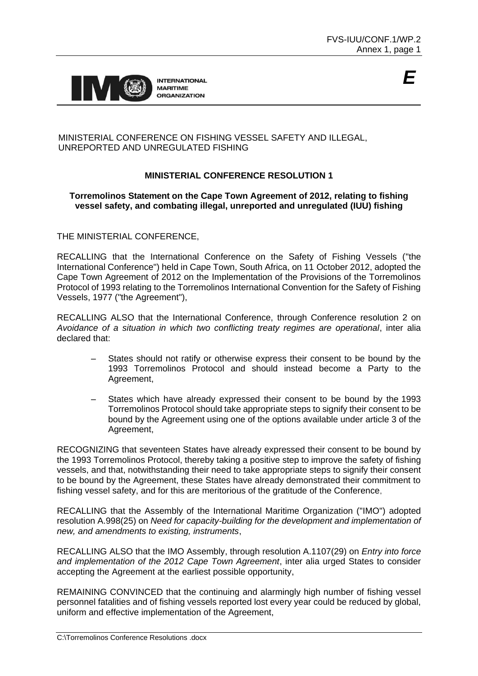

## MINISTERIAL CONFERENCE ON FISHING VESSEL SAFETY AND ILLEGAL, UNREPORTED AND UNREGULATED FISHING

# **MINISTERIAL CONFERENCE RESOLUTION 1**

### **Torremolinos Statement on the Cape Town Agreement of 2012, relating to fishing vessel safety, and combating illegal, unreported and unregulated (IUU) fishing**

THE MINISTERIAL CONFERENCE,

RECALLING that the International Conference on the Safety of Fishing Vessels ("the International Conference") held in Cape Town, South Africa, on 11 October 2012, adopted the Cape Town Agreement of 2012 on the Implementation of the Provisions of the Torremolinos Protocol of 1993 relating to the Torremolinos International Convention for the Safety of Fishing Vessels, 1977 ("the Agreement"),

RECALLING ALSO that the International Conference, through Conference resolution 2 on *Avoidance of a situation in which two conflicting treaty regimes are operational*, inter alia declared that:

- States should not ratify or otherwise express their consent to be bound by the 1993 Torremolinos Protocol and should instead become a Party to the Agreement,
- States which have already expressed their consent to be bound by the 1993 Torremolinos Protocol should take appropriate steps to signify their consent to be bound by the Agreement using one of the options available under article 3 of the Agreement,

RECOGNIZING that seventeen States have already expressed their consent to be bound by the 1993 Torremolinos Protocol, thereby taking a positive step to improve the safety of fishing vessels, and that, notwithstanding their need to take appropriate steps to signify their consent to be bound by the Agreement, these States have already demonstrated their commitment to fishing vessel safety, and for this are meritorious of the gratitude of the Conference,

RECALLING that the Assembly of the International Maritime Organization ("IMO") adopted resolution A.998(25) on *Need for capacity-building for the development and implementation of new, and amendments to existing, instruments*,

RECALLING ALSO that the IMO Assembly, through resolution A.1107(29) on *Entry into force and implementation of the 2012 Cape Town Agreement*, inter alia urged States to consider accepting the Agreement at the earliest possible opportunity,

REMAINING CONVINCED that the continuing and alarmingly high number of fishing vessel personnel fatalities and of fishing vessels reported lost every year could be reduced by global, uniform and effective implementation of the Agreement,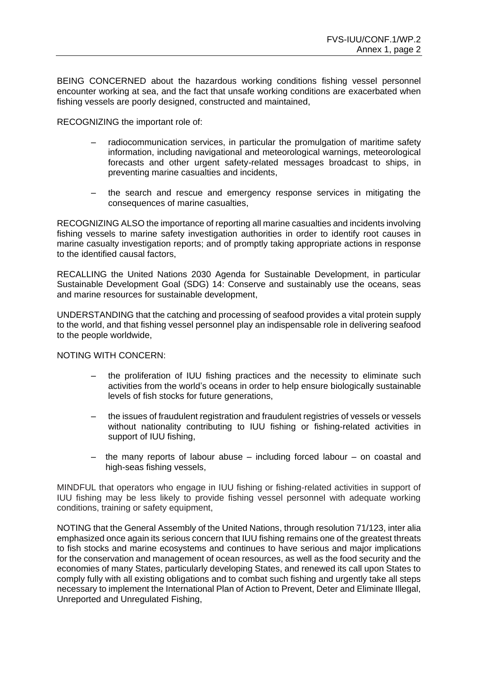BEING CONCERNED about the hazardous working conditions fishing vessel personnel encounter working at sea, and the fact that unsafe working conditions are exacerbated when fishing vessels are poorly designed, constructed and maintained,

RECOGNIZING the important role of:

- radiocommunication services, in particular the promulgation of maritime safety information, including navigational and meteorological warnings, meteorological forecasts and other urgent safety-related messages broadcast to ships, in preventing marine casualties and incidents,
- the search and rescue and emergency response services in mitigating the consequences of marine casualties,

RECOGNIZING ALSO the importance of reporting all marine casualties and incidents involving fishing vessels to marine safety investigation authorities in order to identify root causes in marine casualty investigation reports; and of promptly taking appropriate actions in response to the identified causal factors,

RECALLING the United Nations 2030 Agenda for Sustainable Development, in particular Sustainable Development Goal (SDG) 14: Conserve and sustainably use the oceans, seas and marine resources for sustainable development,

UNDERSTANDING that the catching and processing of seafood provides a vital protein supply to the world, and that fishing vessel personnel play an indispensable role in delivering seafood to the people worldwide,

#### NOTING WITH CONCERN:

- the proliferation of IUU fishing practices and the necessity to eliminate such activities from the world's oceans in order to help ensure biologically sustainable levels of fish stocks for future generations,
- the issues of fraudulent registration and fraudulent registries of vessels or vessels without nationality contributing to IUU fishing or fishing-related activities in support of IUU fishing,
- the many reports of labour abuse including forced labour on coastal and high-seas fishing vessels,

MINDFUL that operators who engage in IUU fishing or fishing-related activities in support of IUU fishing may be less likely to provide fishing vessel personnel with adequate working conditions, training or safety equipment,

NOTING that the General Assembly of the United Nations, through resolution 71/123, inter alia emphasized once again its serious concern that IUU fishing remains one of the greatest threats to fish stocks and marine ecosystems and continues to have serious and major implications for the conservation and management of ocean resources, as well as the food security and the economies of many States, particularly developing States, and renewed its call upon States to comply fully with all existing obligations and to combat such fishing and urgently take all steps necessary to implement the International Plan of Action to Prevent, Deter and Eliminate Illegal, Unreported and Unregulated Fishing,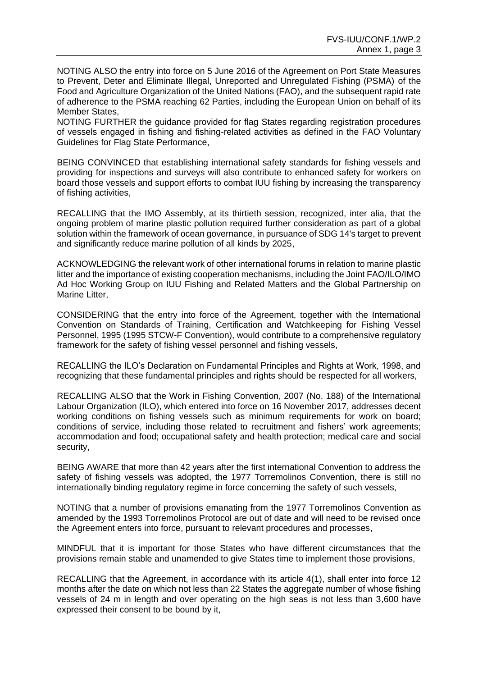NOTING ALSO the entry into force on 5 June 2016 of the Agreement on Port State Measures to Prevent, Deter and Eliminate Illegal, Unreported and Unregulated Fishing (PSMA) of the Food and Agriculture Organization of the United Nations (FAO), and the subsequent rapid rate of adherence to the PSMA reaching 62 Parties, including the European Union on behalf of its Member States,

NOTING FURTHER the guidance provided for flag States regarding registration procedures of vessels engaged in fishing and fishing-related activities as defined in the FAO Voluntary Guidelines for Flag State Performance,

BEING CONVINCED that establishing international safety standards for fishing vessels and providing for inspections and surveys will also contribute to enhanced safety for workers on board those vessels and support efforts to combat IUU fishing by increasing the transparency of fishing activities,

RECALLING that the IMO Assembly, at its thirtieth session, recognized, inter alia, that the ongoing problem of marine plastic pollution required further consideration as part of a global solution within the framework of ocean governance, in pursuance of SDG 14's target to prevent and significantly reduce marine pollution of all kinds by 2025,

ACKNOWLEDGING the relevant work of other international forums in relation to marine plastic litter and the importance of existing cooperation mechanisms, including the Joint FAO/ILO/IMO Ad Hoc Working Group on IUU Fishing and Related Matters and the Global Partnership on Marine Litter,

CONSIDERING that the entry into force of the Agreement, together with the International Convention on Standards of Training, Certification and Watchkeeping for Fishing Vessel Personnel, 1995 (1995 STCW-F Convention), would contribute to a comprehensive regulatory framework for the safety of fishing vessel personnel and fishing vessels,

RECALLING the ILO's Declaration on Fundamental Principles and Rights at Work, 1998, and recognizing that these fundamental principles and rights should be respected for all workers,

RECALLING ALSO that the Work in Fishing Convention, 2007 (No. 188) of the International Labour Organization (ILO), which entered into force on 16 November 2017, addresses decent working conditions on fishing vessels such as minimum requirements for work on board; conditions of service, including those related to recruitment and fishers' work agreements; accommodation and food; occupational safety and health protection; medical care and social security,

BEING AWARE that more than 42 years after the first international Convention to address the safety of fishing vessels was adopted, the 1977 Torremolinos Convention, there is still no internationally binding regulatory regime in force concerning the safety of such vessels,

NOTING that a number of provisions emanating from the 1977 Torremolinos Convention as amended by the 1993 Torremolinos Protocol are out of date and will need to be revised once the Agreement enters into force, pursuant to relevant procedures and processes,

MINDFUL that it is important for those States who have different circumstances that the provisions remain stable and unamended to give States time to implement those provisions,

RECALLING that the Agreement, in accordance with its article 4(1), shall enter into force 12 months after the date on which not less than 22 States the aggregate number of whose fishing vessels of 24 m in length and over operating on the high seas is not less than 3,600 have expressed their consent to be bound by it,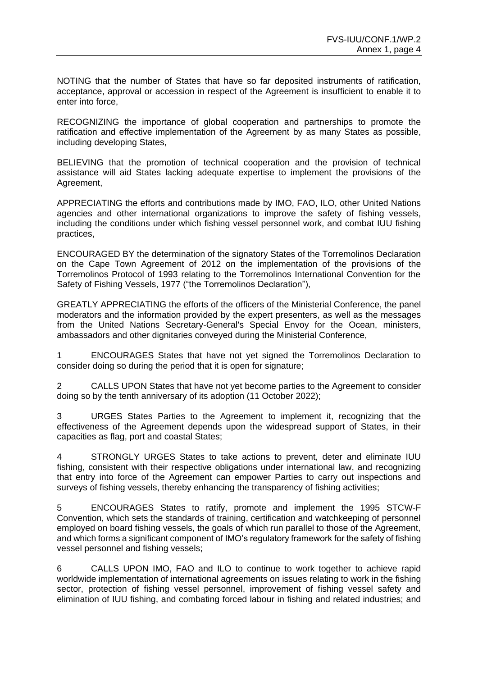NOTING that the number of States that have so far deposited instruments of ratification, acceptance, approval or accession in respect of the Agreement is insufficient to enable it to enter into force,

RECOGNIZING the importance of global cooperation and partnerships to promote the ratification and effective implementation of the Agreement by as many States as possible, including developing States,

BELIEVING that the promotion of technical cooperation and the provision of technical assistance will aid States lacking adequate expertise to implement the provisions of the Agreement,

APPRECIATING the efforts and contributions made by IMO, FAO, ILO, other United Nations agencies and other international organizations to improve the safety of fishing vessels, including the conditions under which fishing vessel personnel work, and combat IUU fishing practices,

ENCOURAGED BY the determination of the signatory States of the Torremolinos Declaration on the Cape Town Agreement of 2012 on the implementation of the provisions of the Torremolinos Protocol of 1993 relating to the Torremolinos International Convention for the Safety of Fishing Vessels, 1977 ("the Torremolinos Declaration"),

GREATLY APPRECIATING the efforts of the officers of the Ministerial Conference, the panel moderators and the information provided by the expert presenters, as well as the messages from the United Nations Secretary-General's Special Envoy for the Ocean, ministers, ambassadors and other dignitaries conveyed during the Ministerial Conference,

1 ENCOURAGES States that have not yet signed the Torremolinos Declaration to consider doing so during the period that it is open for signature;

2 CALLS UPON States that have not yet become parties to the Agreement to consider doing so by the tenth anniversary of its adoption (11 October 2022);

3 URGES States Parties to the Agreement to implement it, recognizing that the effectiveness of the Agreement depends upon the widespread support of States, in their capacities as flag, port and coastal States;

4 STRONGLY URGES States to take actions to prevent, deter and eliminate IUU fishing, consistent with their respective obligations under international law, and recognizing that entry into force of the Agreement can empower Parties to carry out inspections and surveys of fishing vessels, thereby enhancing the transparency of fishing activities;

5 ENCOURAGES States to ratify, promote and implement the 1995 STCW-F Convention, which sets the standards of training, certification and watchkeeping of personnel employed on board fishing vessels, the goals of which run parallel to those of the Agreement, and which forms a significant component of IMO's regulatory framework for the safety of fishing vessel personnel and fishing vessels;

6 CALLS UPON IMO, FAO and ILO to continue to work together to achieve rapid worldwide implementation of international agreements on issues relating to work in the fishing sector, protection of fishing vessel personnel, improvement of fishing vessel safety and elimination of IUU fishing, and combating forced labour in fishing and related industries; and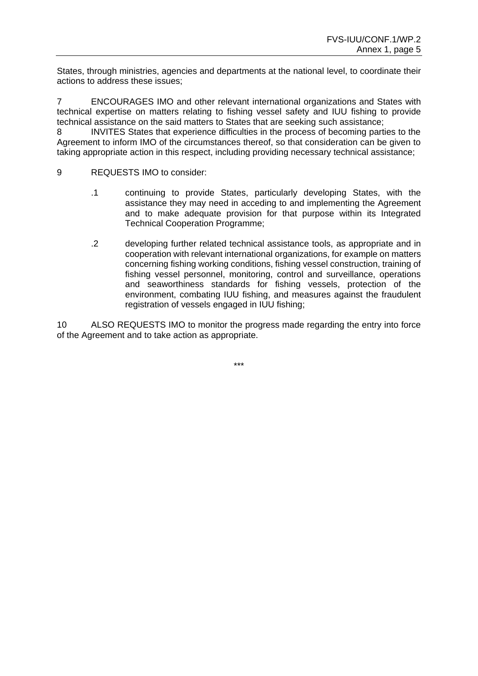States, through ministries, agencies and departments at the national level, to coordinate their actions to address these issues;

7 ENCOURAGES IMO and other relevant international organizations and States with technical expertise on matters relating to fishing vessel safety and IUU fishing to provide technical assistance on the said matters to States that are seeking such assistance;

8 INVITES States that experience difficulties in the process of becoming parties to the Agreement to inform IMO of the circumstances thereof, so that consideration can be given to taking appropriate action in this respect, including providing necessary technical assistance;

- 9 REQUESTS IMO to consider:
	- .1 continuing to provide States, particularly developing States, with the assistance they may need in acceding to and implementing the Agreement and to make adequate provision for that purpose within its Integrated Technical Cooperation Programme;
	- .2 developing further related technical assistance tools, as appropriate and in cooperation with relevant international organizations, for example on matters concerning fishing working conditions, fishing vessel construction, training of fishing vessel personnel, monitoring, control and surveillance, operations and seaworthiness standards for fishing vessels, protection of the environment, combating IUU fishing, and measures against the fraudulent registration of vessels engaged in IUU fishing;

10 ALSO REQUESTS IMO to monitor the progress made regarding the entry into force of the Agreement and to take action as appropriate.

\*\*\*